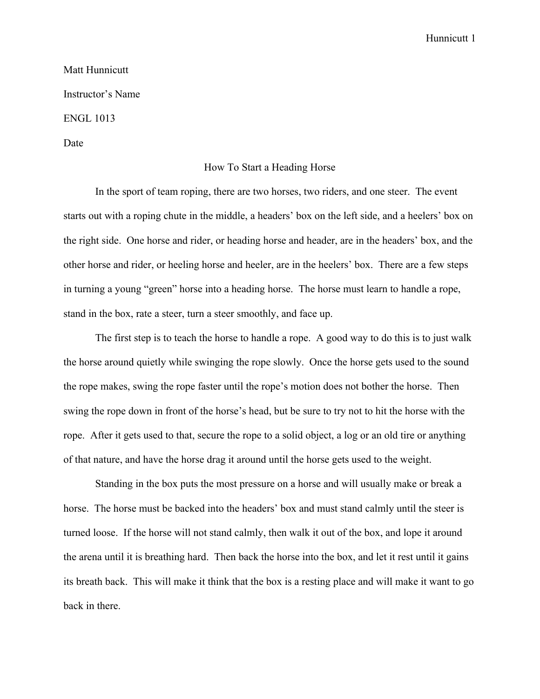## Hunnicutt 1

## Matt Hunnicutt Instructor's Name ENGL 1013 Date

## How To Start a Heading Horse

In the sport of team roping, there are two horses, two riders, and one steer. The event starts out with a roping chute in the middle, a headers' box on the left side, and a heelers' box on the right side. One horse and rider, or heading horse and header, are in the headers' box, and the other horse and rider, or heeling horse and heeler, are in the heelers' box. There are a few steps in turning a young "green" horse into a heading horse. The horse must learn to handle a rope, stand in the box, rate a steer, turn a steer smoothly, and face up.

The first step is to teach the horse to handle a rope. A good way to do this is to just walk the horse around quietly while swinging the rope slowly. Once the horse gets used to the sound the rope makes, swing the rope faster until the rope's motion does not bother the horse. Then swing the rope down in front of the horse's head, but be sure to try not to hit the horse with the rope. After it gets used to that, secure the rope to a solid object, a log or an old tire or anything of that nature, and have the horse drag it around until the horse gets used to the weight.

Standing in the box puts the most pressure on a horse and will usually make or break a horse. The horse must be backed into the headers' box and must stand calmly until the steer is turned loose. If the horse will not stand calmly, then walk it out of the box, and lope it around the arena until it is breathing hard. Then back the horse into the box, and let it rest until it gains its breath back. This will make it think that the box is a resting place and will make it want to go back in there.